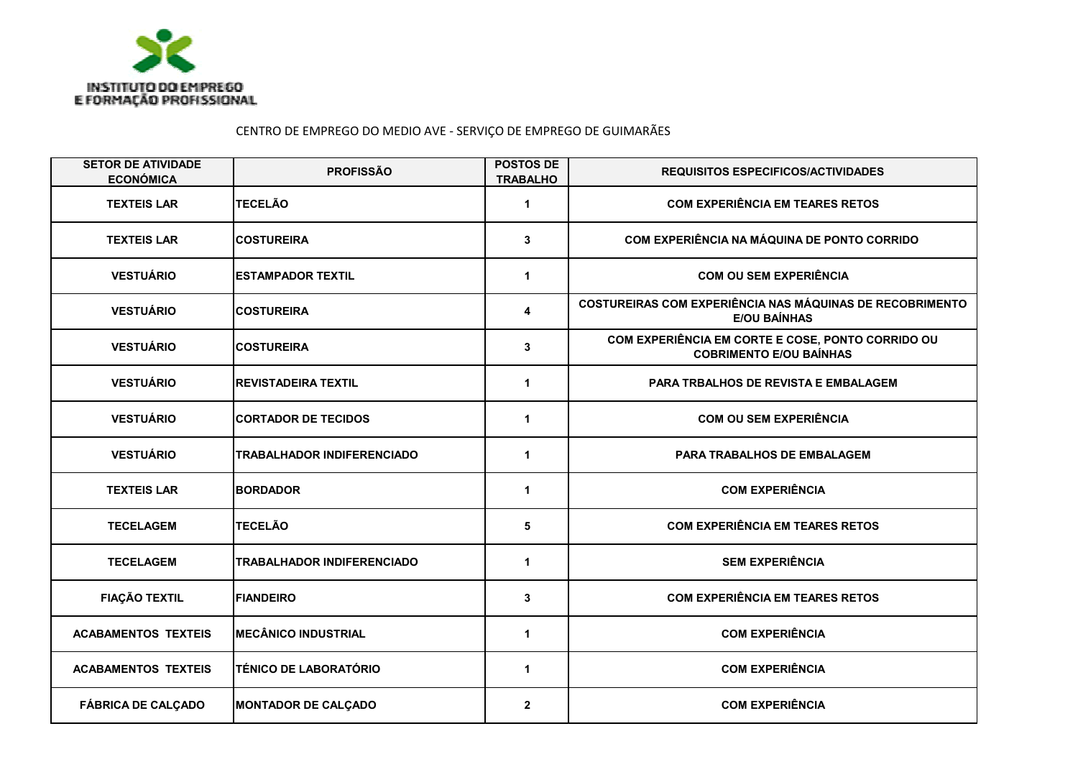

## CENTRO DE EMPREGO DO MEDIO AVE - SERVIÇO DE EMPREGO DE GUIMARÃES

| <b>SETOR DE ATIVIDADE</b><br><b>ECONÓMICA</b> | <b>PROFISSÃO</b>                  | <b>POSTOS DE</b><br><b>TRABALHO</b> | <b>REQUISITOS ESPECIFICOS/ACTIVIDADES</b>                                              |
|-----------------------------------------------|-----------------------------------|-------------------------------------|----------------------------------------------------------------------------------------|
| <b>TEXTEIS LAR</b>                            | <b>TECELÃO</b>                    | 1                                   | <b>COM EXPERIÊNCIA EM TEARES RETOS</b>                                                 |
| <b>TEXTEIS LAR</b>                            | <b>COSTUREIRA</b>                 | 3                                   | COM EXPERIÊNCIA NA MÁQUINA DE PONTO CORRIDO                                            |
| <b>VESTUÁRIO</b>                              | <b>ESTAMPADOR TEXTIL</b>          | $\mathbf 1$                         | <b>COM OU SEM EXPERIÊNCIA</b>                                                          |
| <b>VESTUÁRIO</b>                              | <b>COSTUREIRA</b>                 | 4                                   | <b>COSTUREIRAS COM EXPERIÊNCIA NAS MÁQUINAS DE RECOBRIMENTO</b><br><b>E/OU BAINHAS</b> |
| <b>VESTUÁRIO</b>                              | <b>COSTUREIRA</b>                 | 3                                   | COM EXPERIÊNCIA EM CORTE E COSE, PONTO CORRIDO OU<br><b>COBRIMENTO E/OU BAÍNHAS</b>    |
| <b>VESTUÁRIO</b>                              | <b>REVISTADEIRA TEXTIL</b>        | $\mathbf{1}$                        | PARA TRBALHOS DE REVISTA E EMBALAGEM                                                   |
| <b>VESTUÁRIO</b>                              | <b>CORTADOR DE TECIDOS</b>        | 1                                   | <b>COM OU SEM EXPERIÊNCIA</b>                                                          |
| <b>VESTUÁRIO</b>                              | <b>TRABALHADOR INDIFERENCIADO</b> | 1                                   | <b>PARA TRABALHOS DE EMBALAGEM</b>                                                     |
| <b>TEXTEIS LAR</b>                            | <b>BORDADOR</b>                   | $\mathbf{1}$                        | <b>COM EXPERIÊNCIA</b>                                                                 |
| <b>TECELAGEM</b>                              | <b>TECELÃO</b>                    | 5                                   | <b>COM EXPERIÊNCIA EM TEARES RETOS</b>                                                 |
| <b>TECELAGEM</b>                              | <b>TRABALHADOR INDIFERENCIADO</b> | $\mathbf 1$                         | <b>SEM EXPERIÊNCIA</b>                                                                 |
| <b>FIAÇÃO TEXTIL</b>                          | <b>FIANDEIRO</b>                  | 3                                   | <b>COM EXPERIÊNCIA EM TEARES RETOS</b>                                                 |
| <b>ACABAMENTOS TEXTEIS</b>                    | <b>MECÂNICO INDUSTRIAL</b>        | 1                                   | <b>COM EXPERIÊNCIA</b>                                                                 |
| <b>ACABAMENTOS TEXTEIS</b>                    | <b>TÉNICO DE LABORATÓRIO</b>      | $\mathbf{1}$                        | <b>COM EXPERIÊNCIA</b>                                                                 |
| <b>FÁBRICA DE CALÇADO</b>                     | <b>MONTADOR DE CALÇADO</b>        | $\boldsymbol{2}$                    | <b>COM EXPERIÊNCIA</b>                                                                 |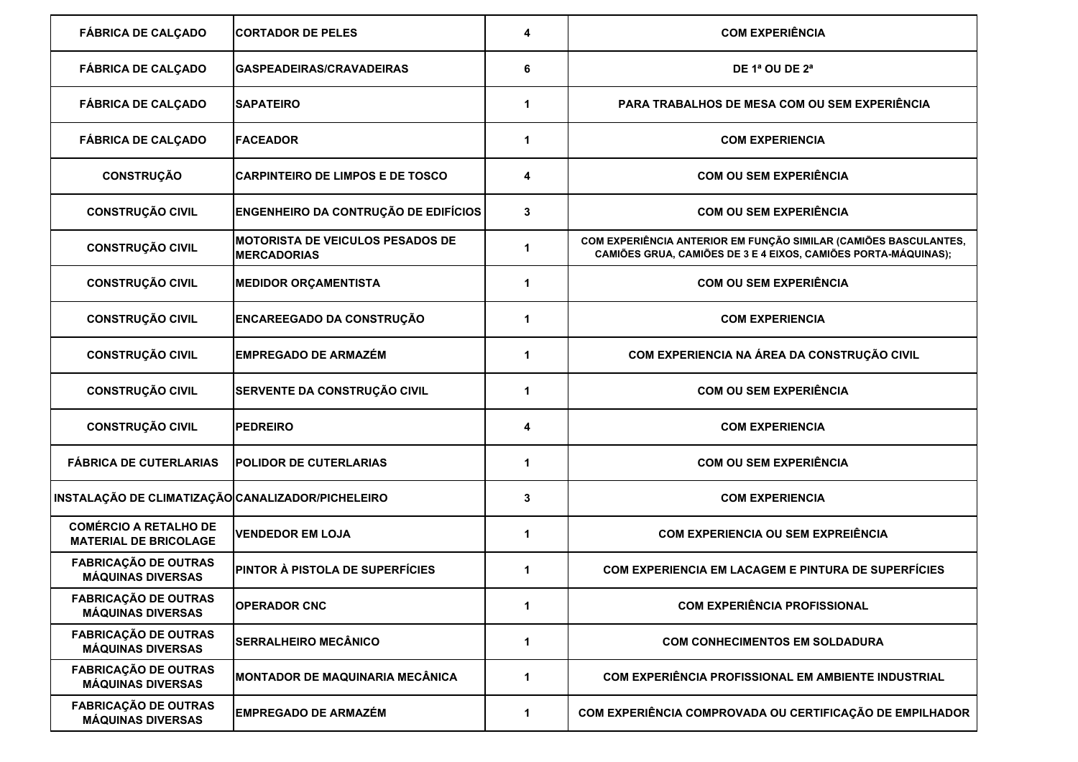| <b>FÁBRICA DE CALÇADO</b>                                    | <b>CORTADOR DE PELES</b>                                      | 4           | <b>COM EXPERIÊNCIA</b>                                                                                                             |
|--------------------------------------------------------------|---------------------------------------------------------------|-------------|------------------------------------------------------------------------------------------------------------------------------------|
| <b>FÁBRICA DE CALÇADO</b>                                    | GASPEADEIRAS/CRAVADEIRAS                                      | 6           | DE 1ª OU DE $2a$                                                                                                                   |
| <b>FÁBRICA DE CALÇADO</b>                                    | <b>SAPATEIRO</b>                                              | 1           | PARA TRABALHOS DE MESA COM OU SEM EXPERIÊNCIA                                                                                      |
| <b>FÁBRICA DE CALÇADO</b>                                    | <b>FACEADOR</b>                                               | 1           | <b>COM EXPERIENCIA</b>                                                                                                             |
| <b>CONSTRUÇÃO</b>                                            | <b>CARPINTEIRO DE LIMPOS E DE TOSCO</b>                       | 4           | <b>COM OU SEM EXPERIÊNCIA</b>                                                                                                      |
| <b>CONSTRUÇÃO CIVIL</b>                                      | <b>ENGENHEIRO DA CONTRUÇÃO DE EDIFÍCIOS</b>                   | 3           | <b>COM OU SEM EXPERIÊNCIA</b>                                                                                                      |
| <b>CONSTRUÇÃO CIVIL</b>                                      | <b>MOTORISTA DE VEICULOS PESADOS DE</b><br><b>MERCADORIAS</b> | 1           | COM EXPERIÊNCIA ANTERIOR EM FUNÇÃO SIMILAR (CAMIÕES BASCULANTES,<br>CAMIÕES GRUA, CAMIÕES DE 3 E 4 EIXOS, CAMIÕES PORTA-MÁQUINAS); |
| <b>CONSTRUÇÃO CIVIL</b>                                      | <b>MEDIDOR ORÇAMENTISTA</b>                                   | 1           | <b>COM OU SEM EXPERIÊNCIA</b>                                                                                                      |
| <b>CONSTRUÇÃO CIVIL</b>                                      | <b>ENCAREEGADO DA CONSTRUÇÃO</b>                              | 1           | <b>COM EXPERIENCIA</b>                                                                                                             |
| <b>CONSTRUÇÃO CIVIL</b>                                      | <b>EMPREGADO DE ARMAZÉM</b>                                   | 1           | COM EXPERIENCIA NA ÁREA DA CONSTRUÇÃO CIVIL                                                                                        |
| <b>CONSTRUÇÃO CIVIL</b>                                      | SERVENTE DA CONSTRUÇÃO CIVIL                                  | $\mathbf 1$ | <b>COM OU SEM EXPERIÊNCIA</b>                                                                                                      |
| <b>CONSTRUÇÃO CIVIL</b>                                      | <b>PEDREIRO</b>                                               | 4           | <b>COM EXPERIENCIA</b>                                                                                                             |
| <b>FÁBRICA DE CUTERLARIAS</b>                                | <b>POLIDOR DE CUTERLARIAS</b>                                 | 1           | <b>COM OU SEM EXPERIÊNCIA</b>                                                                                                      |
| INSTALAÇÃO DE CLIMATIZAÇÃO CANALIZADOR/PICHELEIRO            |                                                               | 3           | <b>COM EXPERIENCIA</b>                                                                                                             |
| <b>COMÉRCIO A RETALHO DE</b><br><b>MATERIAL DE BRICOLAGE</b> | <b>VENDEDOR EM LOJA</b>                                       | 1           | <b>COM EXPERIENCIA OU SEM EXPREIÊNCIA</b>                                                                                          |
| <b>FABRICAÇÃO DE OUTRAS</b><br><b>MÁQUINAS DIVERSAS</b>      | <b>PINTOR À PISTOLA DE SUPERFÍCIES</b>                        | 1           | <b>COM EXPERIENCIA EM LACAGEM E PINTURA DE SUPERFÍCIES</b>                                                                         |
| <b>FABRICAÇÃO DE OUTRAS</b><br><b>MÁQUINAS DIVERSAS</b>      | <b>OPERADOR CNC</b>                                           | 1           | <b>COM EXPERIÊNCIA PROFISSIONAL</b>                                                                                                |
| <b>FABRICAÇÃO DE OUTRAS</b><br><b>MÁQUINAS DIVERSAS</b>      | <b>SERRALHEIRO MECÂNICO</b>                                   | 1           | <b>COM CONHECIMENTOS EM SOLDADURA</b>                                                                                              |
| <b>FABRICAÇÃO DE OUTRAS</b><br><b>MÁQUINAS DIVERSAS</b>      | <b>MONTADOR DE MAQUINARIA MECÂNICA</b>                        | 1           | COM EXPERIÊNCIA PROFISSIONAL EM AMBIENTE INDUSTRIAL                                                                                |
| <b>FABRICAÇÃO DE OUTRAS</b><br><b>MÁQUINAS DIVERSAS</b>      | <b>EMPREGADO DE ARMAZÉM</b>                                   | 1           | COM EXPERIÊNCIA COMPROVADA OU CERTIFICAÇÃO DE EMPILHADOR                                                                           |